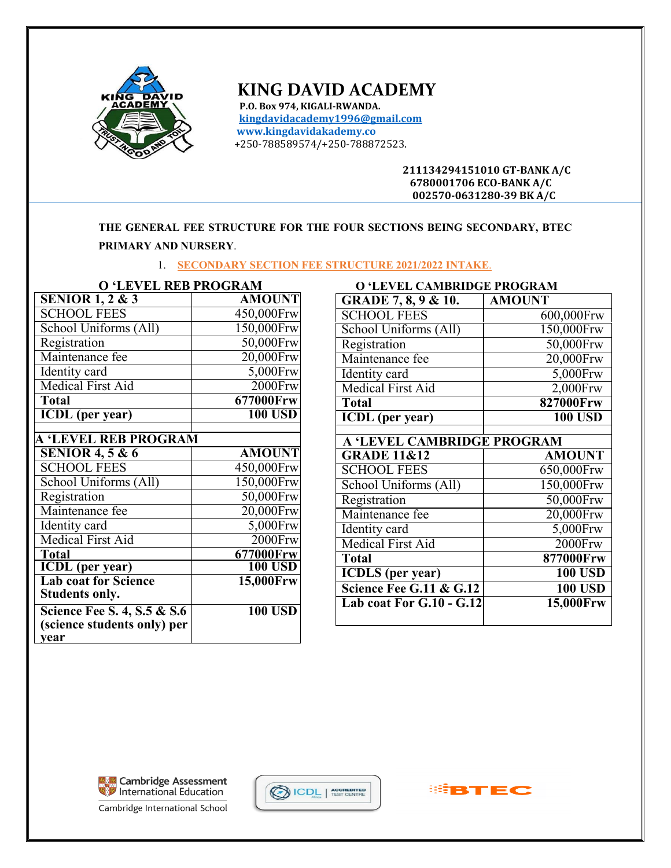

# **KING DAVID ACADEMY**

 **P.O. Box 974, KIGALI-RWANDA. [kingdavidacademy1996@gmail.com](mailto:kingdavidacademy1996@gmail.com) www.kingdavidakademy.co** +250-788589574/+250-788872523.

> **211134294151010 GT-BANK A/C 6780001706 ECO-BANK A/C 002570-0631280-39 BK A/C**

**THE GENERAL FEE STRUCTURE FOR THE FOUR SECTIONS BEING SECONDARY, BTEC PRIMARY AND NURSERY**.

1. **SECONDARY SECTION FEE STRUCTURE 2021/2022 INTAKE**.

| <b>O 'LEVEL REB PROGRAM</b>            |                | <b>O 'LEVEL CAMBRIDGE PROGRAM</b> |                         |
|----------------------------------------|----------------|-----------------------------------|-------------------------|
| <b>SENIOR 1, 2 &amp; 3</b>             | <b>AMOUNT</b>  | <b>GRADE 7, 8, 9 &amp; 10.</b>    | <b>AMOUNT</b>           |
| <b>SCHOOL FEES</b>                     | 450,000Frw     | <b>SCHOOL FEES</b>                | 600                     |
| School Uniforms (All)                  | 150,000Frw     | School Uniforms (All)             | $\overline{150}$        |
| Registration                           | 50,000Frw      | Registration                      | 50                      |
| Maintenance fee                        | 20,000Frw      | Maintenance fee                   | 20                      |
| Identity card                          | 5,000Frw       | Identity card                     | 5                       |
| <b>Medical First Aid</b>               | $2000$ Frw     | <b>Medical First Aid</b>          | $\overline{2}$          |
| <b>Total</b>                           | 677000Frw      | <b>Total</b>                      | 827                     |
| <b>ICDL</b> (per year)                 | <b>100 USD</b> | <b>ICDL</b> (per year)            |                         |
| <b>A 'LEVEL REB PROGRAM</b>            |                | A 'LEVEL CAMBRIDGE PROGRAM        |                         |
| <b>SENIOR 4, 5 &amp; 6</b>             | <b>AMOUNT</b>  | <b>GRADE 11&amp;12</b>            | Al                      |
| <b>SCHOOL FEES</b>                     | 450,000Frw     | <b>SCHOOL FEES</b>                | 650                     |
| School Uniforms (All)                  | 150,000Frw     | School Uniforms (All)             | 150                     |
| Registration                           | 50,000Frw      | Registration                      | $\overline{50}$         |
| Maintenance fee                        | 20,000Frw      | Maintenance fee                   | $\overline{20}$         |
| Identity card                          | 5,000Frw       | Identity card                     | $\overline{\mathbf{5}}$ |
| <b>Medical First Aid</b>               | $2000$ Frw     | <b>Medical First Aid</b>          |                         |
| <b>Total</b>                           | 677000Frw      | <b>Total</b>                      | 87                      |
| <b>ICDL</b> (per year)                 | <b>100 USD</b> | <b>ICDLS</b> (per year)           |                         |
| <b>Lab coat for Science</b>            | 15,000Frw      | Science Fee G.11 & G.12           |                         |
| <b>Students only.</b>                  |                | Lab coat For G.10 - G.12          | $\overline{15}$         |
| <b>Science Fee S. 4, S.5 &amp; S.6</b> | <b>100 USD</b> |                                   |                         |
| (science students only) per            |                |                                   |                         |
| vear                                   |                |                                   |                         |

| O 'LEVEL CAMBRIDGE PROGRAM           |                |  |  |
|--------------------------------------|----------------|--|--|
| <b>GRADE 7, 8, 9 &amp; 10.</b>       | <b>AMOUNT</b>  |  |  |
| <b>SCHOOL FEES</b>                   | 600,000Frw     |  |  |
| School Uniforms (All)                | 150,000Frw     |  |  |
| Registration                         | 50,000Frw      |  |  |
| $\overline{\text{M}}$ aintenance fee | 20,000Frw      |  |  |
| Identity card                        | 5,000Frw       |  |  |
| <b>Medical First Aid</b>             | $2,000$ Frw    |  |  |
| <b>Total</b>                         | 827000Frw      |  |  |
| <b>ICDL</b> (per year)               | <b>100 USD</b> |  |  |
|                                      |                |  |  |
| A 'LEVEL CAMBRIDGE PROGRAM           |                |  |  |
| <b>GRADE 11&amp;12</b>               | <b>AMOUNT</b>  |  |  |
| <b>SCHOOL FEES</b>                   | 650,000Frw     |  |  |
| School Uniforms (All)                | 150,000Frw     |  |  |
| Registration                         | 50,000Frw      |  |  |
| Maintenance fee                      | 20,000Frw      |  |  |
| Identity card                        | $5,000$ Frw    |  |  |
| Medical First Aid                    | 2000Frw        |  |  |
| <b>Total</b>                         | 877000Frw      |  |  |
| <b>ICDLS</b> (per year)              | <b>100 USD</b> |  |  |
| Science Fee G.11 & G.12              | <b>100 USD</b> |  |  |
| Lab coat For G.10 - G.12             | 15,000Frw      |  |  |
|                                      |                |  |  |



Cambridge International School



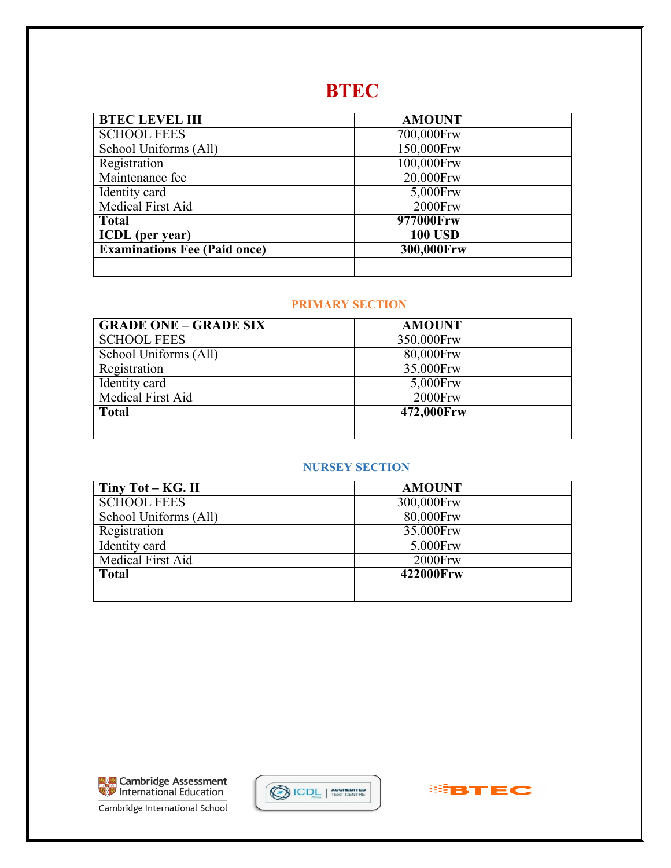# **BTEC**

| <b>BTEC LEVEL III</b>               | <b>AMOUNT</b>  |
|-------------------------------------|----------------|
| <b>SCHOOL FEES</b>                  | 700,000Frw     |
| School Uniforms (All)               | 150,000Frw     |
| Registration                        | 100,000Frw     |
| Maintenance fee                     | 20,000Frw      |
| Identity card                       | 5,000Frw       |
| Medical First Aid                   | 2000Frw        |
| <b>Total</b>                        | 977000Frw      |
| <b>ICDL</b> (per year)              | <b>100 USD</b> |
| <b>Examinations Fee (Paid once)</b> | 300,000Frw     |
|                                     |                |

#### **PRIMARY SECTION**

| <b>GRADE ONE - GRADE SIX</b> | <b>AMOUNT</b> |
|------------------------------|---------------|
| <b>SCHOOL FEES</b>           | 350,000Frw    |
| School Uniforms (All)        | 80,000Frw     |
| Registration                 | 35,000Frw     |
| Identity card                | 5,000Frw      |
| Medical First Aid            | 2000Frw       |
| <b>Total</b>                 | 472,000Frw    |
|                              |               |

# **NURSEY SECTION**

| Tiny $Tot - KG$ . II  | <b>AMOUNT</b> |
|-----------------------|---------------|
| <b>SCHOOL FEES</b>    | 300,000Frw    |
| School Uniforms (All) | 80,000Frw     |
| Registration          | 35,000Frw     |
| Identity card         | 5,000Frw      |
| Medical First Aid     | 2000Frw       |
| <b>Total</b>          | 422000Frw     |
|                       |               |



Cambridge International School



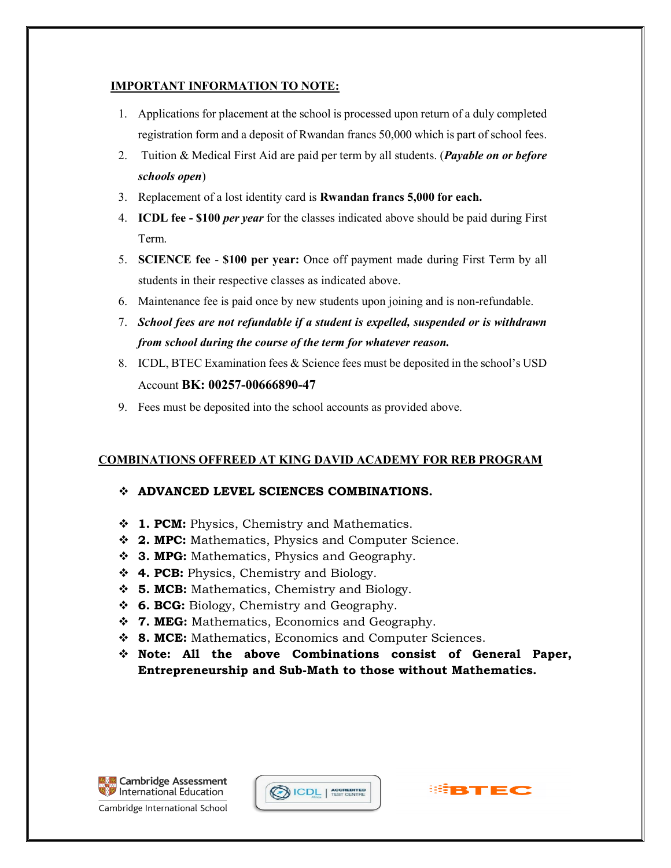#### **IMPORTANT INFORMATION TO NOTE:**

- 1. Applications for placement at the school is processed upon return of a duly completed registration form and a deposit of Rwandan francs 50,000 which is part of school fees.
- 2. Tuition & Medical First Aid are paid per term by all students. (*Payable on or before schools open*)
- 3. Replacement of a lost identity card is **Rwandan francs 5,000 for each.**
- 4. **ICDL fee - \$100** *per year* for the classes indicated above should be paid during First Term.
- 5. **SCIENCE fee \$100 per year:** Once off payment made during First Term by all students in their respective classes as indicated above.
- 6. Maintenance fee is paid once by new students upon joining and is non-refundable.
- 7. *School fees are not refundable if a student is expelled, suspended or is withdrawn from school during the course of the term for whatever reason.*
- 8. ICDL, BTEC Examination fees & Science fees must be deposited in the school's USD Account **BK: 00257-00666890-47**
- 9. Fees must be deposited into the school accounts as provided above.

# **COMBINATIONS OFFREED AT KING DAVID ACADEMY FOR REB PROGRAM**

# **ADVANCED LEVEL SCIENCES COMBINATIONS.**

- $\div$  **1. PCM:** Physics, Chemistry and Mathematics.
- **2. MPC:** Mathematics, Physics and Computer Science.
- **3. MPG:** Mathematics, Physics and Geography.
- **4. PCB:** Physics, Chemistry and Biology.
- **5. MCB:** Mathematics, Chemistry and Biology.
- **6. BCG:** Biology, Chemistry and Geography.
- **7. MEG:** Mathematics, Economics and Geography.
- **8. MCE:** Mathematics, Economics and Computer Sciences.
- **Note: All the above Combinations consist of General Paper, Entrepreneurship and Sub-Math to those without Mathematics.**







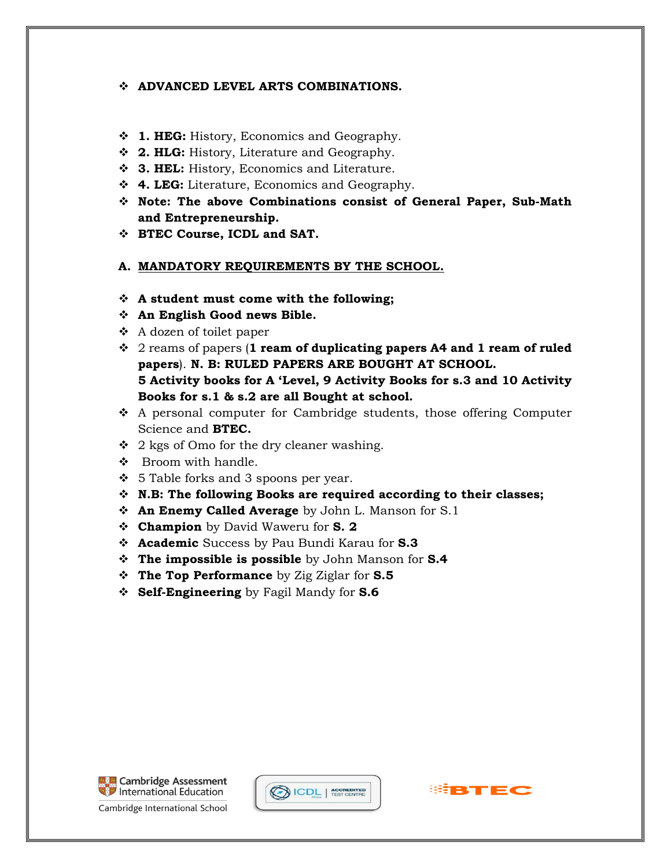#### **ADVANCED LEVEL ARTS COMBINATIONS.**

- $\div$  **1. HEG:** History, Economics and Geography.
- **2. HLG:** History, Literature and Geography.
- **3. HEL:** History, Economics and Literature.
- **4. LEG:** Literature, Economics and Geography.
- **Note: The above Combinations consist of General Paper, Sub-Math and Entrepreneurship.**
- **BTEC Course, ICDL and SAT.**

# **A. MANDATORY REQUIREMENTS BY THE SCHOOL.**

- **A student must come with the following;**
- **An English Good news Bible.**
- A dozen of toilet paper
- 2 reams of papers (**1 ream of duplicating papers A4 and 1 ream of ruled papers**). **N. B: RULED PAPERS ARE BOUGHT AT SCHOOL. 5 Activity books for A 'Level, 9 Activity Books for s.3 and 10 Activity Books for s.1 & s.2 are all Bought at school.**
- $\triangle$  A personal computer for Cambridge students, those offering Computer Science and **BTEC.**
- $\div$  2 kgs of Omo for the dry cleaner washing.
- ❖ Broom with handle.
- $\div$  5 Table forks and 3 spoons per year.
- **N.B: The following Books are required according to their classes;**
- **An Enemy Called Average** by John L. Manson for S.1
- **Champion** by David Waweru for **S. 2**
- **Academic** Success by Pau Bundi Karau for **S.3**
- **The impossible is possible** by John Manson for **S.4**
- **The Top Performance** by Zig Ziglar for **S.5**
- **Self-Engineering** by Fagil Mandy for **S.6**



Cambridge International School